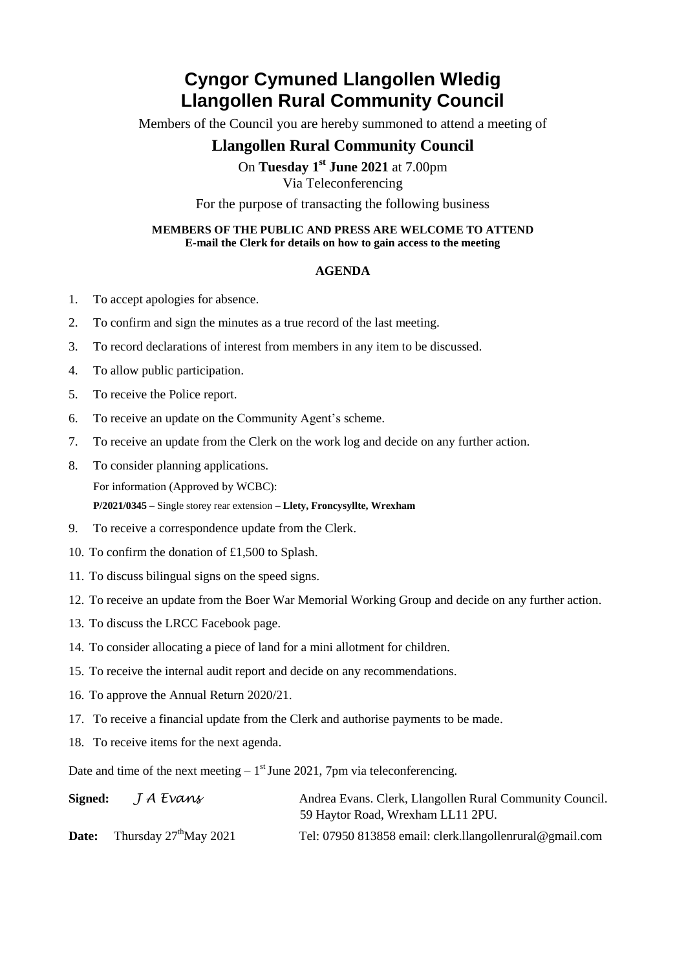# **Cyngor Cymuned Llangollen Wledig Llangollen Rural Community Council**

Members of the Council you are hereby summoned to attend a meeting of

### **Llangollen Rural Community Council**

On **Tuesday 1 st June 2021** at 7.00pm Via Teleconferencing

For the purpose of transacting the following business

#### **MEMBERS OF THE PUBLIC AND PRESS ARE WELCOME TO ATTEND E-mail the Clerk for details on how to gain access to the meeting**

#### **AGENDA**

- 1. To accept apologies for absence.
- 2. To confirm and sign the minutes as a true record of the last meeting.
- 3. To record declarations of interest from members in any item to be discussed.
- 4. To allow public participation.
- 5. To receive the Police report.
- 6. To receive an update on the Community Agent's scheme.
- 7. To receive an update from the Clerk on the work log and decide on any further action.
- 8. To consider planning applications.

For information (Approved by WCBC):

**P/2021/0345 –** Single storey rear extension **– Llety, Froncysyllte, Wrexham**

- 9. To receive a correspondence update from the Clerk.
- 10. To confirm the donation of £1,500 to Splash.
- 11. To discuss bilingual signs on the speed signs.
- 12. To receive an update from the Boer War Memorial Working Group and decide on any further action.
- 13. To discuss the LRCC Facebook page.
- 14. To consider allocating a piece of land for a mini allotment for children.
- 15. To receive the internal audit report and decide on any recommendations.
- 16. To approve the Annual Return 2020/21.
- 17. To receive a financial update from the Clerk and authorise payments to be made.
- 18. To receive items for the next agenda.

Date and time of the next meeting  $-1<sup>st</sup>$  June 2021, 7pm via teleconferencing.

| Signed: | J A Evans                          | Andrea Evans. Clerk, Llangollen Rural Community Council.<br>59 Haytor Road, Wrexham LL11 2PU. |
|---------|------------------------------------|-----------------------------------------------------------------------------------------------|
| Date:   | Thursday $27^{\text{th}}$ May 2021 | Tel: 07950 813858 email: clerk.llangollenrural@gmail.com                                      |